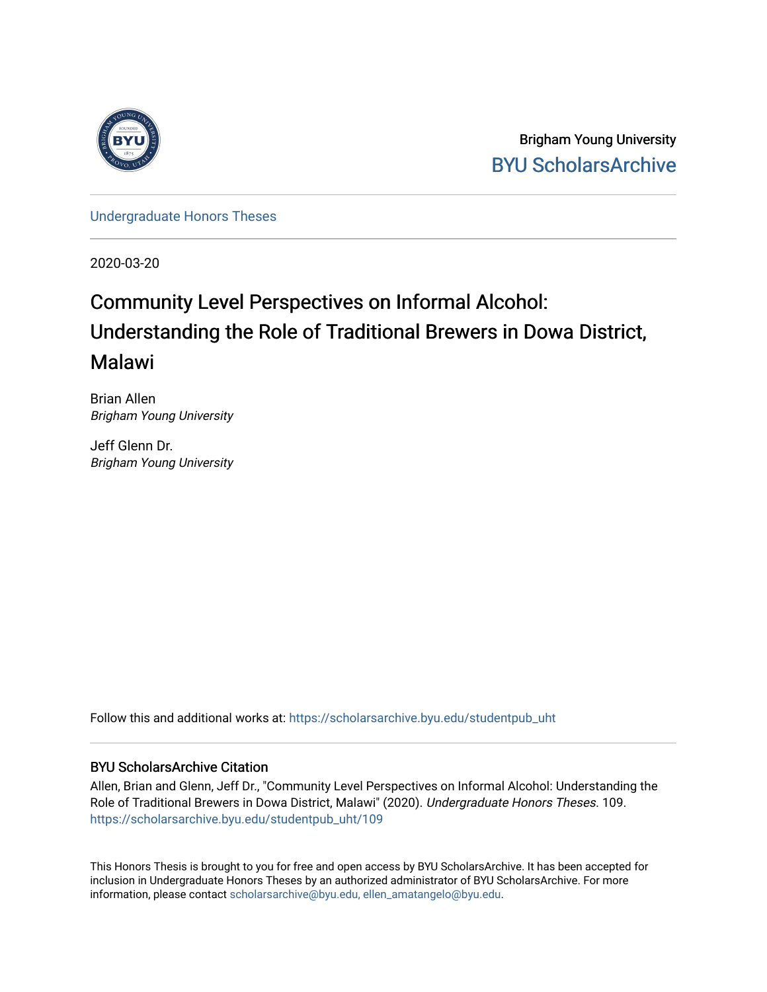

Brigham Young University [BYU ScholarsArchive](https://scholarsarchive.byu.edu/) 

[Undergraduate Honors Theses](https://scholarsarchive.byu.edu/studentpub_uht) 

2020-03-20

# Community Level Perspectives on Informal Alcohol: Understanding the Role of Traditional Brewers in Dowa District, Malawi

Brian Allen Brigham Young University

Jeff Glenn Dr. Brigham Young University

Follow this and additional works at: [https://scholarsarchive.byu.edu/studentpub\\_uht](https://scholarsarchive.byu.edu/studentpub_uht?utm_source=scholarsarchive.byu.edu%2Fstudentpub_uht%2F109&utm_medium=PDF&utm_campaign=PDFCoverPages) 

#### BYU ScholarsArchive Citation

Allen, Brian and Glenn, Jeff Dr., "Community Level Perspectives on Informal Alcohol: Understanding the Role of Traditional Brewers in Dowa District, Malawi" (2020). Undergraduate Honors Theses. 109. [https://scholarsarchive.byu.edu/studentpub\\_uht/109](https://scholarsarchive.byu.edu/studentpub_uht/109?utm_source=scholarsarchive.byu.edu%2Fstudentpub_uht%2F109&utm_medium=PDF&utm_campaign=PDFCoverPages)

This Honors Thesis is brought to you for free and open access by BYU ScholarsArchive. It has been accepted for inclusion in Undergraduate Honors Theses by an authorized administrator of BYU ScholarsArchive. For more information, please contact [scholarsarchive@byu.edu, ellen\\_amatangelo@byu.edu.](mailto:scholarsarchive@byu.edu,%20ellen_amatangelo@byu.edu)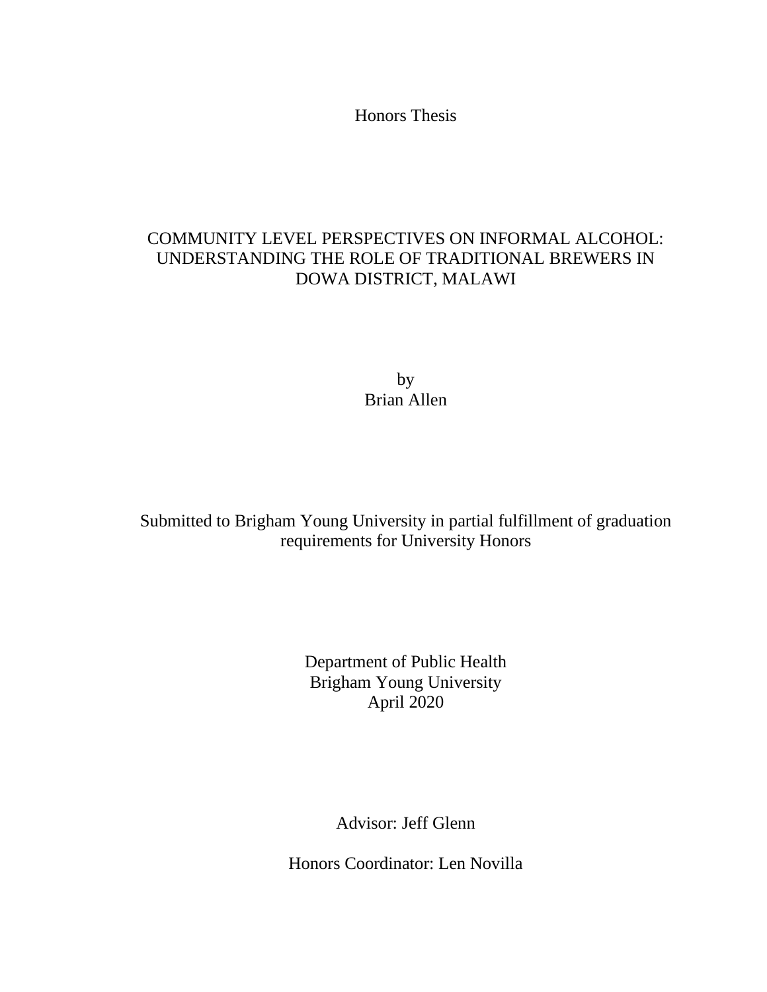Honors Thesis

### COMMUNITY LEVEL PERSPECTIVES ON INFORMAL ALCOHOL: UNDERSTANDING THE ROLE OF TRADITIONAL BREWERS IN DOWA DISTRICT, MALAWI

by Brian Allen

Submitted to Brigham Young University in partial fulfillment of graduation requirements for University Honors

> Department of Public Health Brigham Young University April 2020

> > Advisor: Jeff Glenn

Honors Coordinator: Len Novilla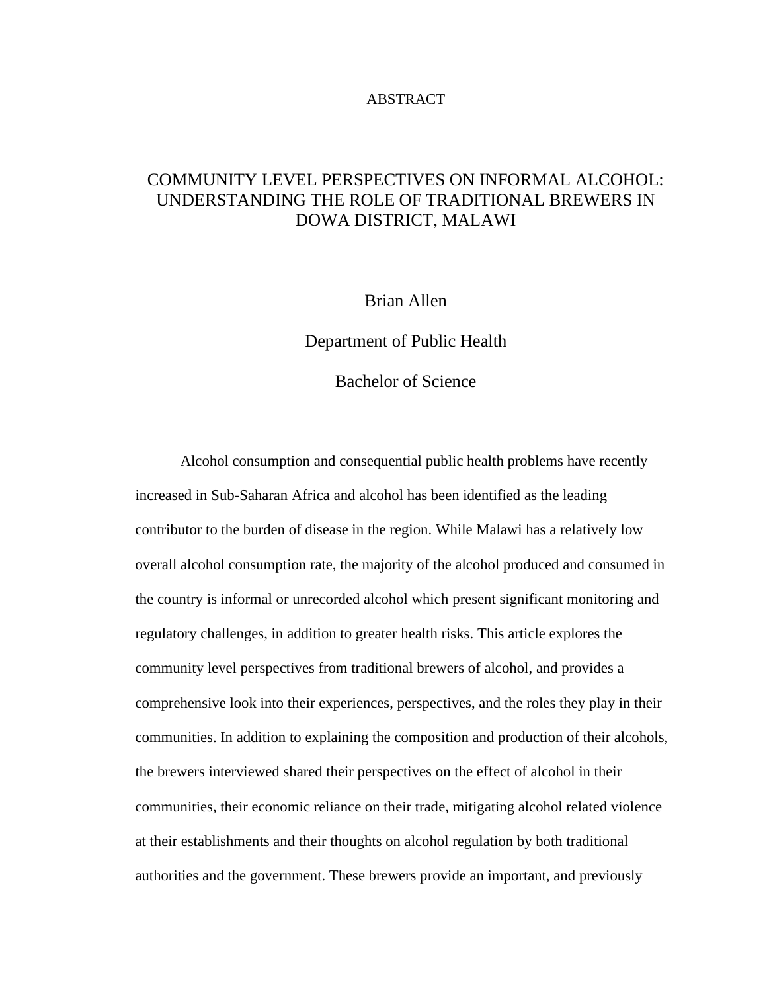#### ABSTRACT

### COMMUNITY LEVEL PERSPECTIVES ON INFORMAL ALCOHOL: UNDERSTANDING THE ROLE OF TRADITIONAL BREWERS IN DOWA DISTRICT, MALAWI

### Brian Allen

Department of Public Health

Bachelor of Science

Alcohol consumption and consequential public health problems have recently increased in Sub-Saharan Africa and alcohol has been identified as the leading contributor to the burden of disease in the region. While Malawi has a relatively low overall alcohol consumption rate, the majority of the alcohol produced and consumed in the country is informal or unrecorded alcohol which present significant monitoring and regulatory challenges, in addition to greater health risks. This article explores the community level perspectives from traditional brewers of alcohol, and provides a comprehensive look into their experiences, perspectives, and the roles they play in their communities. In addition to explaining the composition and production of their alcohols, the brewers interviewed shared their perspectives on the effect of alcohol in their communities, their economic reliance on their trade, mitigating alcohol related violence at their establishments and their thoughts on alcohol regulation by both traditional authorities and the government. These brewers provide an important, and previously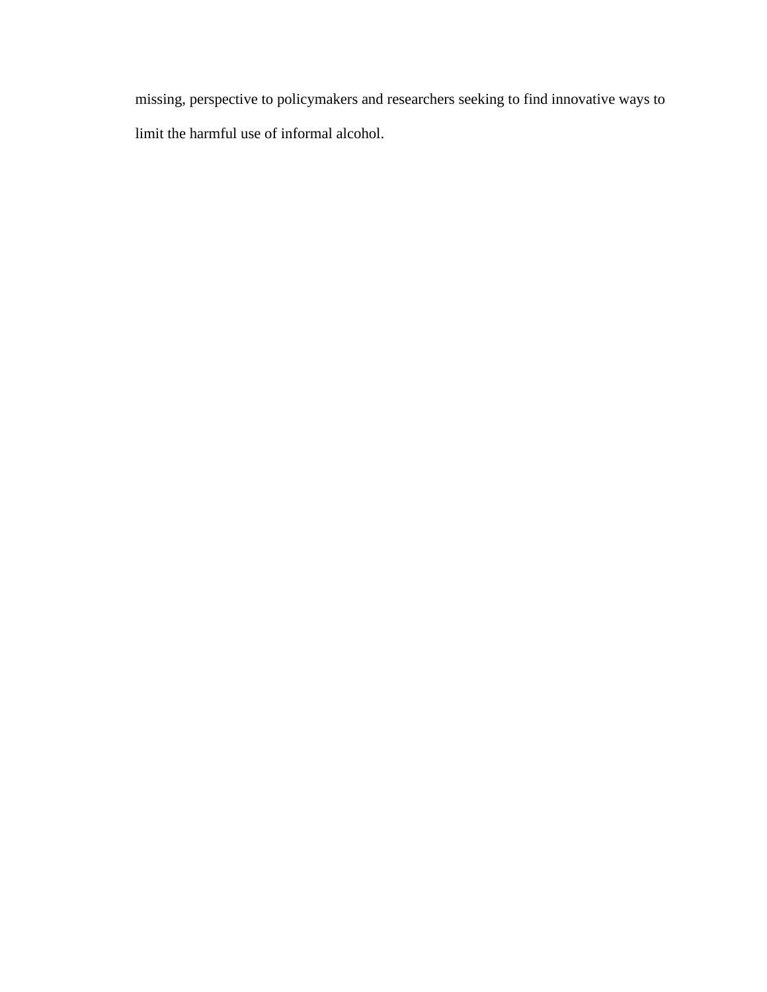missing, perspective to policymakers and researchers seeking to find innovative ways to limit the harmful use of informal alcohol.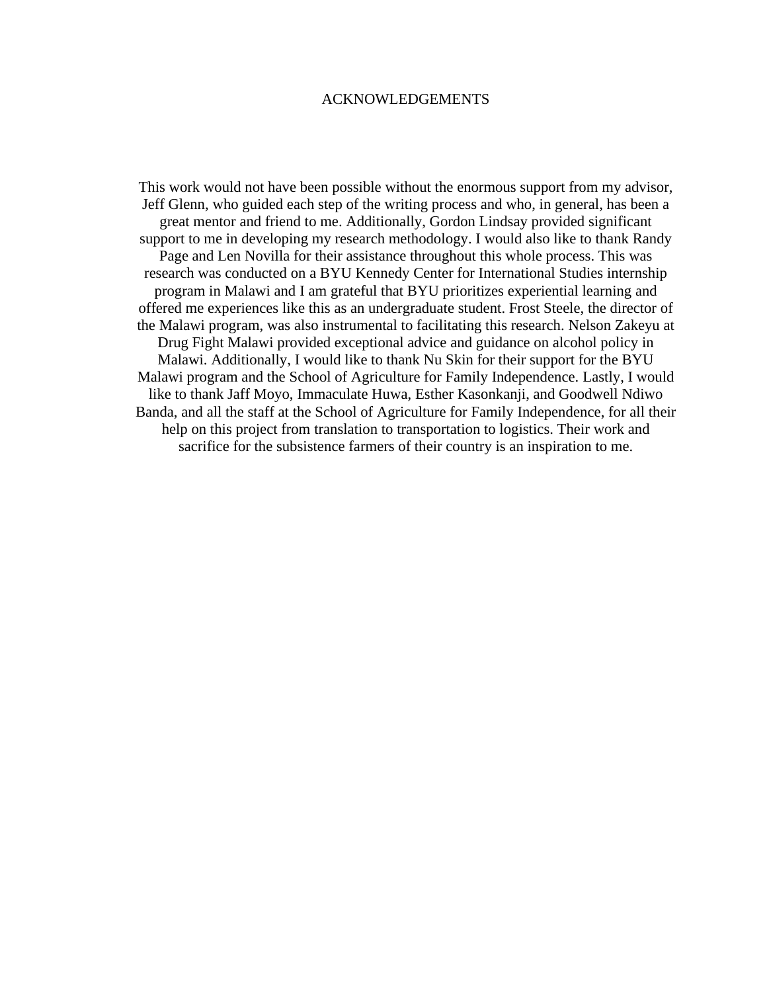#### ACKNOWLEDGEMENTS

This work would not have been possible without the enormous support from my advisor, Jeff Glenn, who guided each step of the writing process and who, in general, has been a great mentor and friend to me. Additionally, Gordon Lindsay provided significant support to me in developing my research methodology. I would also like to thank Randy Page and Len Novilla for their assistance throughout this whole process. This was research was conducted on a BYU Kennedy Center for International Studies internship program in Malawi and I am grateful that BYU prioritizes experiential learning and offered me experiences like this as an undergraduate student. Frost Steele, the director of the Malawi program, was also instrumental to facilitating this research. Nelson Zakeyu at Drug Fight Malawi provided exceptional advice and guidance on alcohol policy in Malawi. Additionally, I would like to thank Nu Skin for their support for the BYU Malawi program and the School of Agriculture for Family Independence. Lastly, I would like to thank Jaff Moyo, Immaculate Huwa, Esther Kasonkanji, and Goodwell Ndiwo Banda, and all the staff at the School of Agriculture for Family Independence, for all their help on this project from translation to transportation to logistics. Their work and sacrifice for the subsistence farmers of their country is an inspiration to me.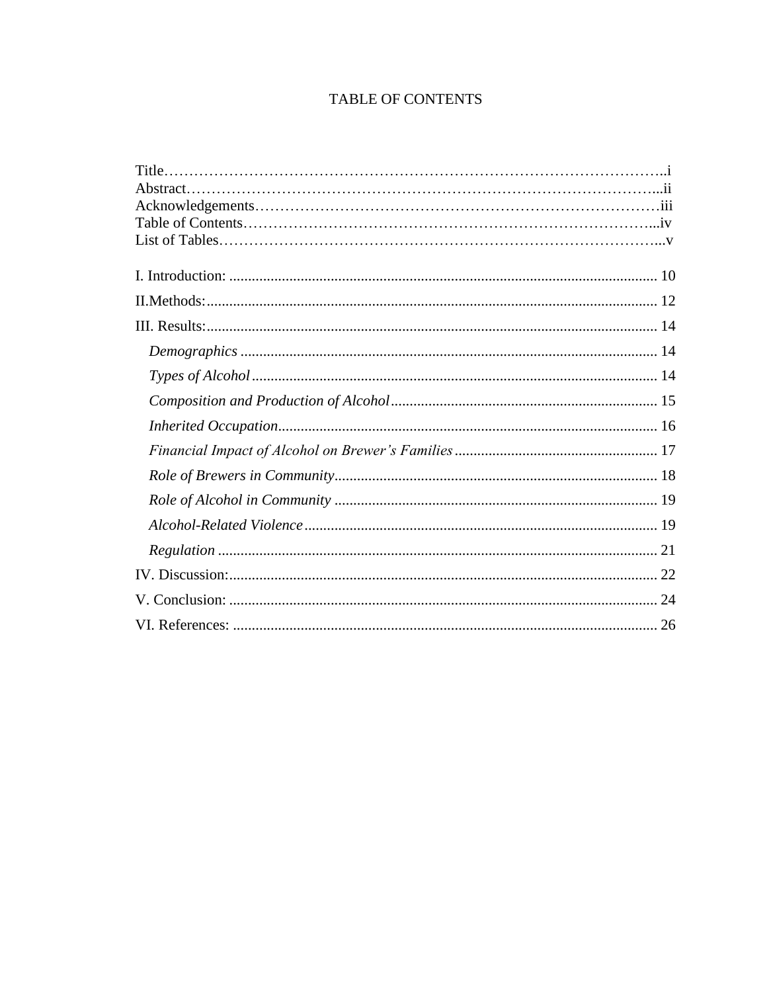### TABLE OF CONTENTS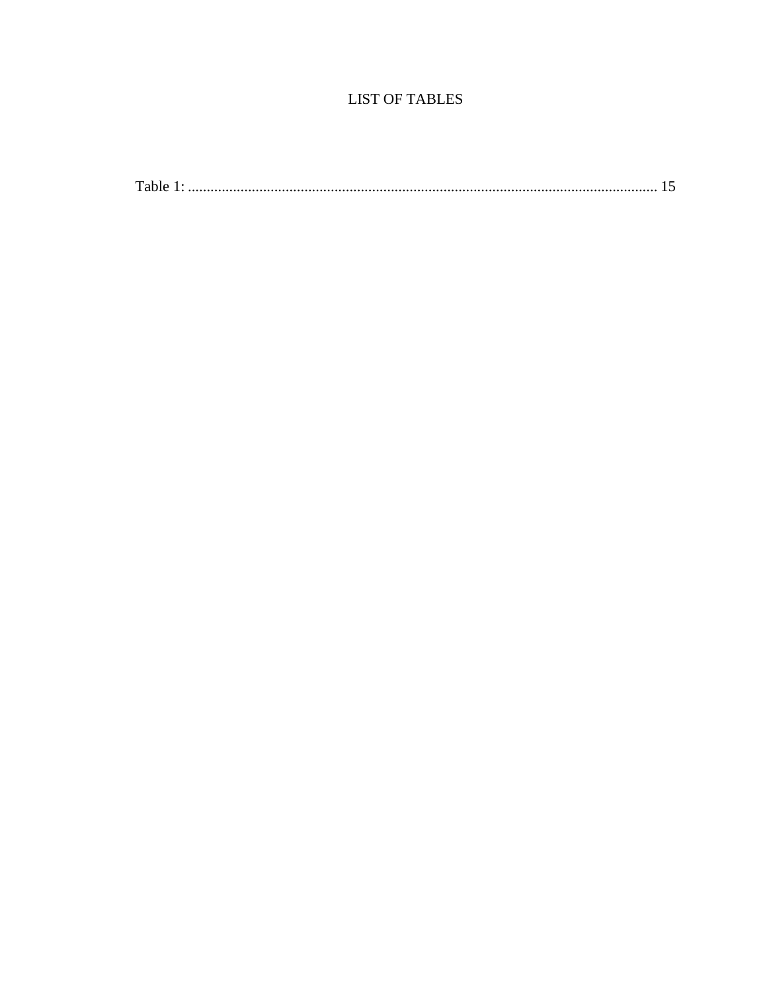## **LIST OF TABLES**

|--|--|--|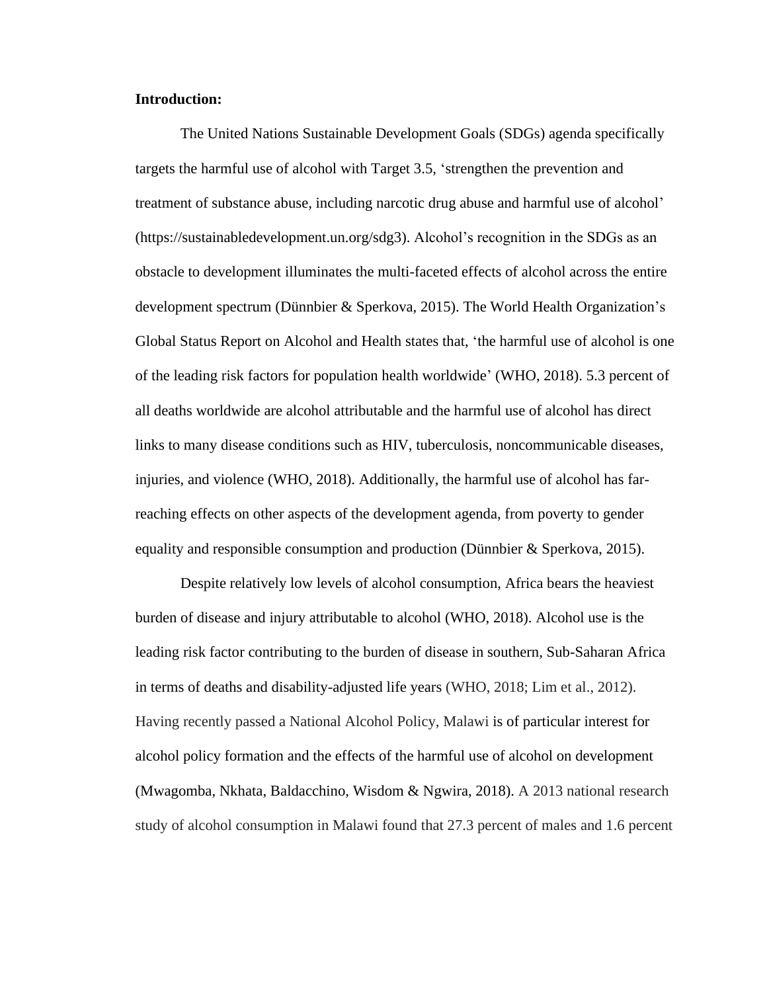#### <span id="page-10-0"></span>**Introduction:**

The United Nations Sustainable Development Goals (SDGs) agenda specifically targets the harmful use of alcohol with Target 3.5, 'strengthen the prevention and treatment of substance abuse, including narcotic drug abuse and harmful use of alcohol' (https://sustainabledevelopment.un.org/sdg3). Alcohol's recognition in the SDGs as an obstacle to development illuminates the multi-faceted effects of alcohol across the entire development spectrum (Dünnbier & Sperkova, 2015). The World Health Organization's Global Status Report on Alcohol and Health states that, 'the harmful use of alcohol is one of the leading risk factors for population health worldwide' (WHO, 2018). 5.3 percent of all deaths worldwide are alcohol attributable and the harmful use of alcohol has direct links to many disease conditions such as HIV, tuberculosis, noncommunicable diseases, injuries, and violence (WHO, 2018). Additionally, the harmful use of alcohol has farreaching effects on other aspects of the development agenda, from poverty to gender equality and responsible consumption and production (Dünnbier & Sperkova, 2015).

Despite relatively low levels of alcohol consumption, Africa bears the heaviest burden of disease and injury attributable to alcohol (WHO, 2018). Alcohol use is the leading risk factor contributing to the burden of disease in southern, Sub-Saharan Africa in terms of deaths and disability-adjusted life years (WHO, 2018; Lim et al., 2012). Having recently passed a National Alcohol Policy, Malawi is of particular interest for alcohol policy formation and the effects of the harmful use of alcohol on development (Mwagomba, Nkhata, Baldacchino, Wisdom & Ngwira, 2018). A 2013 national research study of alcohol consumption in Malawi found that 27.3 percent of males and 1.6 percent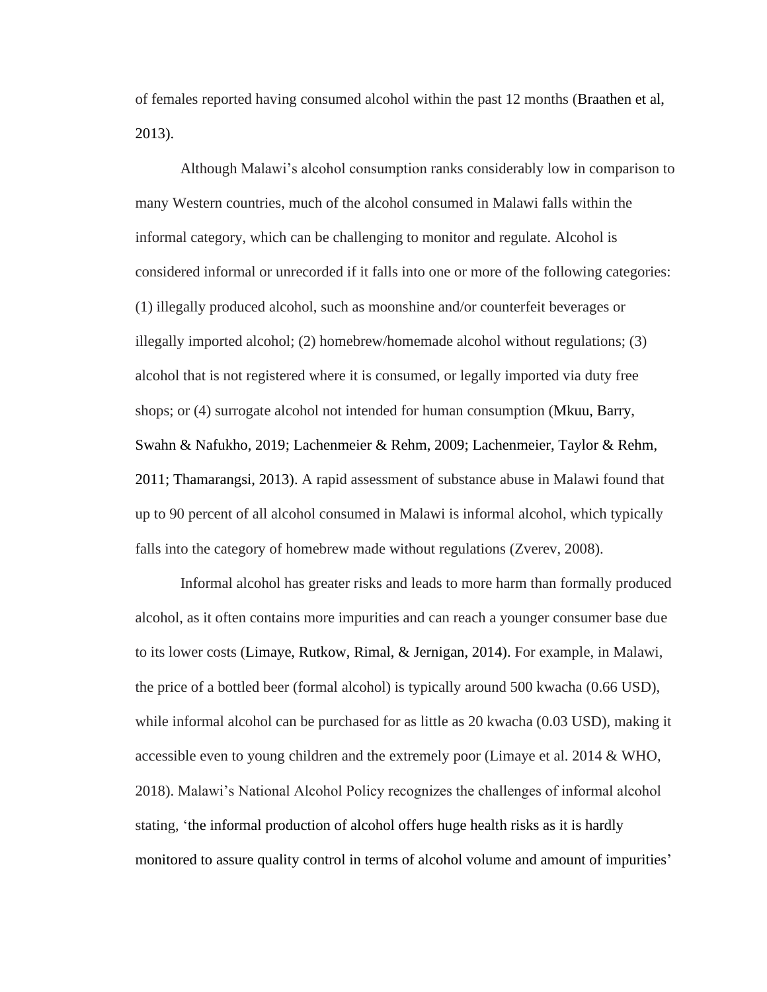of females reported having consumed alcohol within the past 12 months (Braathen et al, 2013).

Although Malawi's alcohol consumption ranks considerably low in comparison to many Western countries, much of the alcohol consumed in Malawi falls within the informal category, which can be challenging to monitor and regulate. Alcohol is considered informal or unrecorded if it falls into one or more of the following categories: (1) illegally produced alcohol, such as moonshine and/or counterfeit beverages or illegally imported alcohol; (2) homebrew/homemade alcohol without regulations; (3) alcohol that is not registered where it is consumed, or legally imported via duty free shops; or (4) surrogate alcohol not intended for human consumption (Mkuu, Barry, Swahn & Nafukho, 2019; Lachenmeier & Rehm, 2009; Lachenmeier, Taylor & Rehm, 2011; Thamarangsi, 2013). A rapid assessment of substance abuse in Malawi found that up to 90 percent of all alcohol consumed in Malawi is informal alcohol, which typically falls into the category of homebrew made without regulations (Zverev, 2008).

Informal alcohol has greater risks and leads to more harm than formally produced alcohol, as it often contains more impurities and can reach a younger consumer base due to its lower costs (Limaye, Rutkow, Rimal, & Jernigan, 2014). For example, in Malawi, the price of a bottled beer (formal alcohol) is typically around 500 kwacha (0.66 USD), while informal alcohol can be purchased for as little as 20 kwacha (0.03 USD), making it accessible even to young children and the extremely poor (Limaye et al. 2014 & WHO, 2018). Malawi's National Alcohol Policy recognizes the challenges of informal alcohol stating, 'the informal production of alcohol offers huge health risks as it is hardly monitored to assure quality control in terms of alcohol volume and amount of impurities'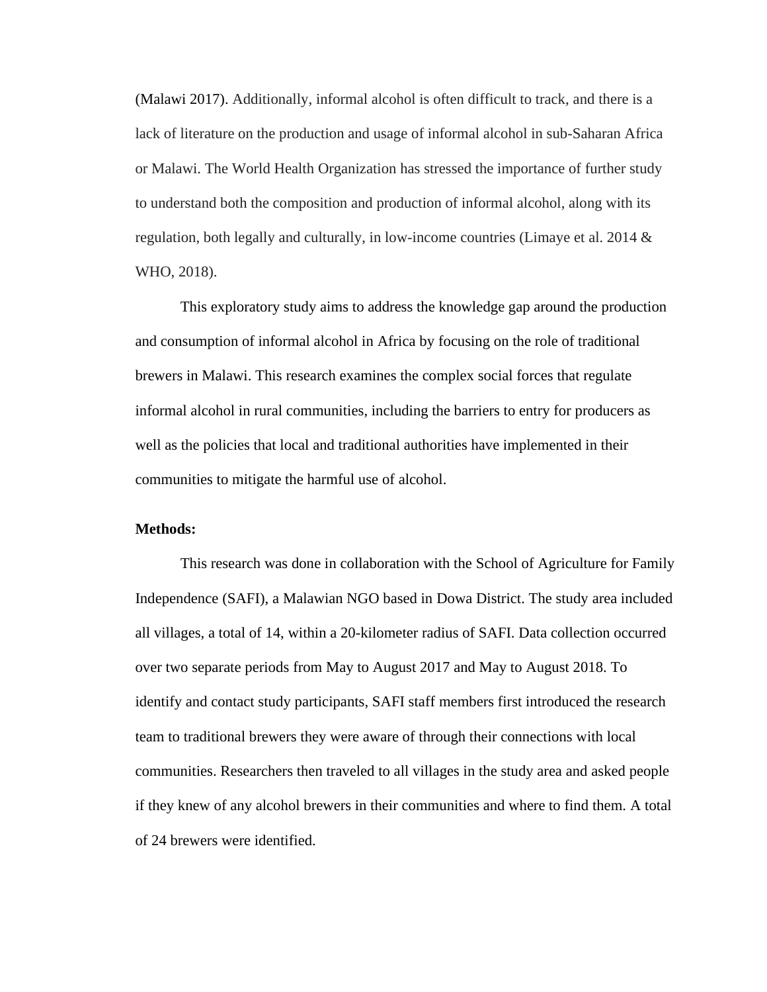(Malawi 2017). Additionally, informal alcohol is often difficult to track, and there is a lack of literature on the production and usage of informal alcohol in sub-Saharan Africa or Malawi. The World Health Organization has stressed the importance of further study to understand both the composition and production of informal alcohol, along with its regulation, both legally and culturally, in low-income countries (Limaye et al. 2014  $\&$ WHO, 2018).

This exploratory study aims to address the knowledge gap around the production and consumption of informal alcohol in Africa by focusing on the role of traditional brewers in Malawi. This research examines the complex social forces that regulate informal alcohol in rural communities, including the barriers to entry for producers as well as the policies that local and traditional authorities have implemented in their communities to mitigate the harmful use of alcohol.

#### <span id="page-12-0"></span>**Methods:**

This research was done in collaboration with the School of Agriculture for Family Independence (SAFI), a Malawian NGO based in Dowa District. The study area included all villages, a total of 14, within a 20-kilometer radius of SAFI. Data collection occurred over two separate periods from May to August 2017 and May to August 2018. To identify and contact study participants, SAFI staff members first introduced the research team to traditional brewers they were aware of through their connections with local communities. Researchers then traveled to all villages in the study area and asked people if they knew of any alcohol brewers in their communities and where to find them. A total of 24 brewers were identified.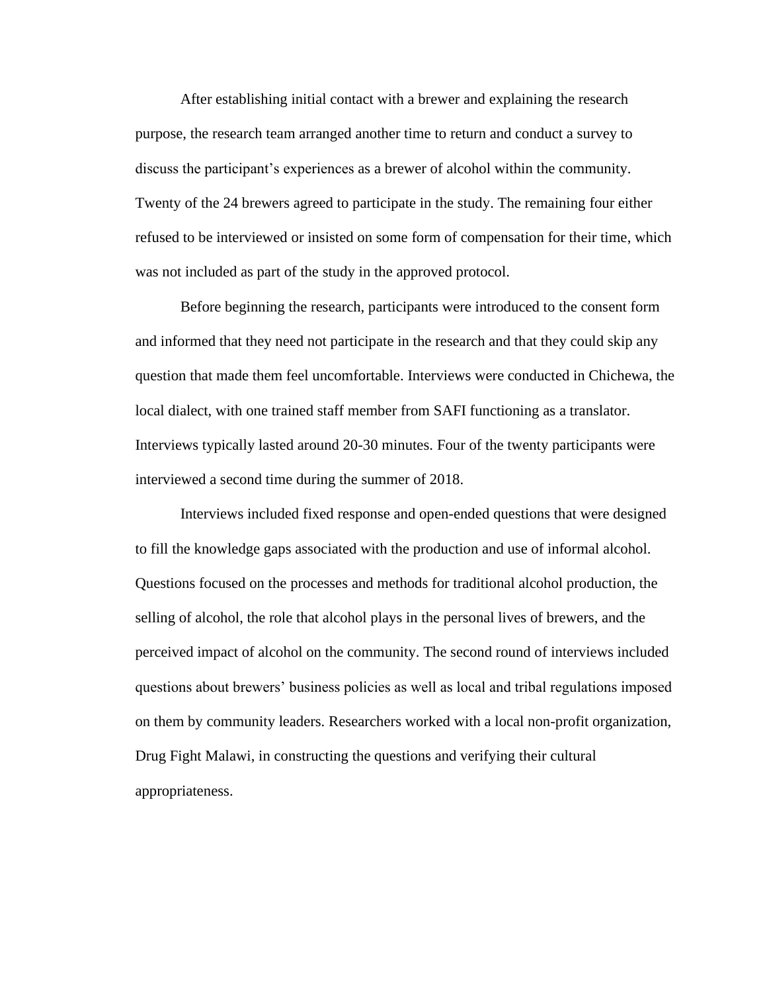After establishing initial contact with a brewer and explaining the research purpose, the research team arranged another time to return and conduct a survey to discuss the participant's experiences as a brewer of alcohol within the community. Twenty of the 24 brewers agreed to participate in the study. The remaining four either refused to be interviewed or insisted on some form of compensation for their time, which was not included as part of the study in the approved protocol.

Before beginning the research, participants were introduced to the consent form and informed that they need not participate in the research and that they could skip any question that made them feel uncomfortable. Interviews were conducted in Chichewa, the local dialect, with one trained staff member from SAFI functioning as a translator. Interviews typically lasted around 20-30 minutes. Four of the twenty participants were interviewed a second time during the summer of 2018.

Interviews included fixed response and open-ended questions that were designed to fill the knowledge gaps associated with the production and use of informal alcohol. Questions focused on the processes and methods for traditional alcohol production, the selling of alcohol, the role that alcohol plays in the personal lives of brewers, and the perceived impact of alcohol on the community. The second round of interviews included questions about brewers' business policies as well as local and tribal regulations imposed on them by community leaders. Researchers worked with a local non-profit organization, Drug Fight Malawi, in constructing the questions and verifying their cultural appropriateness.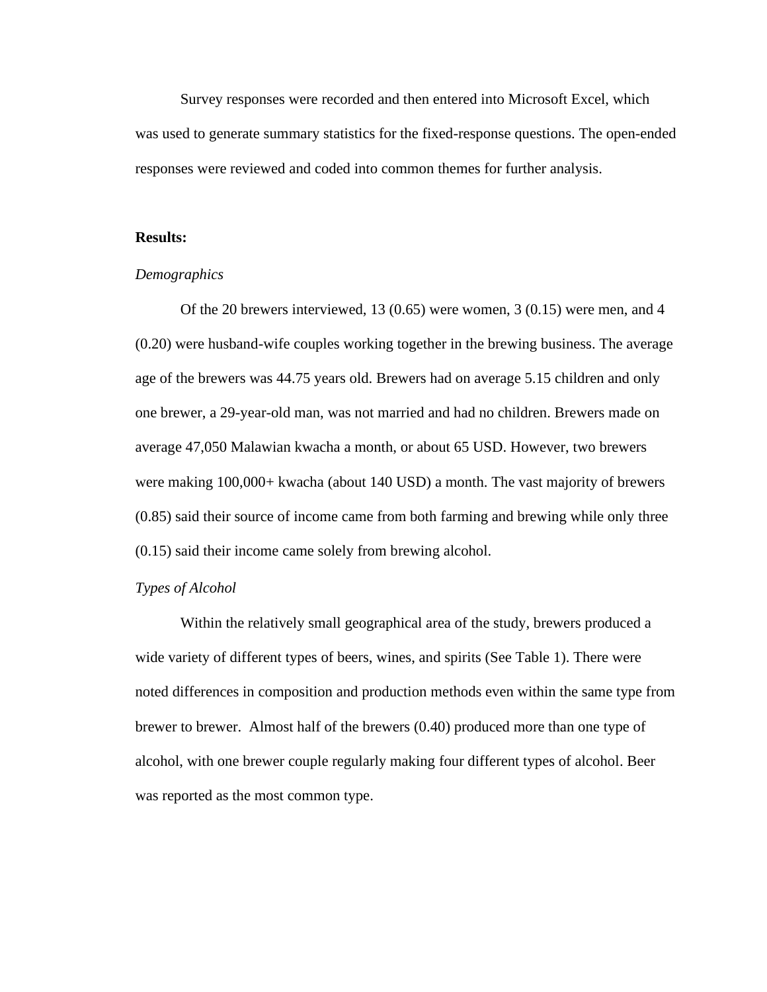Survey responses were recorded and then entered into Microsoft Excel, which was used to generate summary statistics for the fixed-response questions. The open-ended responses were reviewed and coded into common themes for further analysis.

#### <span id="page-14-0"></span>**Results:**

#### <span id="page-14-1"></span>*Demographics*

Of the 20 brewers interviewed, 13 (0.65) were women, 3 (0.15) were men, and 4 (0.20) were husband-wife couples working together in the brewing business. The average age of the brewers was 44.75 years old. Brewers had on average 5.15 children and only one brewer, a 29-year-old man, was not married and had no children. Brewers made on average 47,050 Malawian kwacha a month, or about 65 USD. However, two brewers were making 100,000+ kwacha (about 140 USD) a month. The vast majority of brewers (0.85) said their source of income came from both farming and brewing while only three (0.15) said their income came solely from brewing alcohol.

#### <span id="page-14-2"></span>*Types of Alcohol*

Within the relatively small geographical area of the study, brewers produced a wide variety of different types of beers, wines, and spirits (See Table 1). There were noted differences in composition and production methods even within the same type from brewer to brewer. Almost half of the brewers (0.40) produced more than one type of alcohol, with one brewer couple regularly making four different types of alcohol. Beer was reported as the most common type.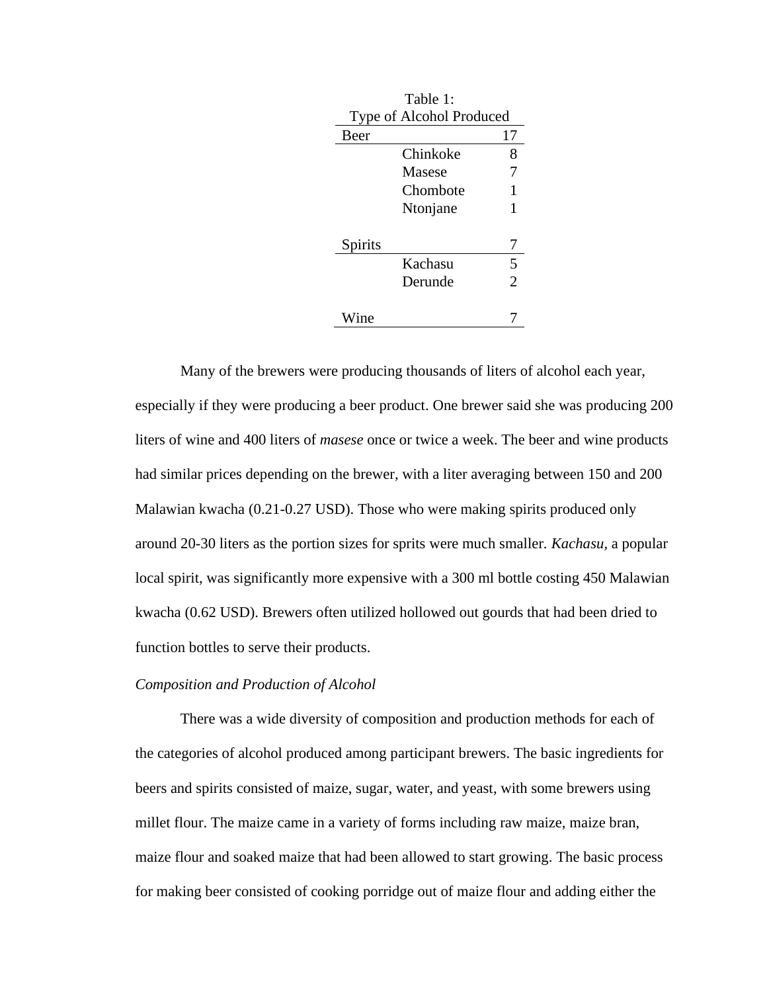<span id="page-15-1"></span>

| Table 1:                 |          |                |  |  |
|--------------------------|----------|----------------|--|--|
| Type of Alcohol Produced |          |                |  |  |
| Beer                     |          | 17             |  |  |
|                          | Chinkoke | 8              |  |  |
|                          | Masese   | 7              |  |  |
|                          | Chombote | 1              |  |  |
|                          | Ntonjane | 1              |  |  |
| Spirits                  |          | 7              |  |  |
|                          | Kachasu  | 5              |  |  |
|                          | Derunde  | $\overline{c}$ |  |  |
| 'ine                     |          |                |  |  |

Many of the brewers were producing thousands of liters of alcohol each year, especially if they were producing a beer product. One brewer said she was producing 200 liters of wine and 400 liters of *masese* once or twice a week. The beer and wine products had similar prices depending on the brewer, with a liter averaging between 150 and 200 Malawian kwacha (0.21-0.27 USD). Those who were making spirits produced only around 20-30 liters as the portion sizes for sprits were much smaller*. Kachasu,* a popular local spirit, was significantly more expensive with a 300 ml bottle costing 450 Malawian kwacha (0.62 USD). Brewers often utilized hollowed out gourds that had been dried to function bottles to serve their products.

#### <span id="page-15-0"></span>*Composition and Production of Alcohol*

There was a wide diversity of composition and production methods for each of the categories of alcohol produced among participant brewers. The basic ingredients for beers and spirits consisted of maize, sugar, water, and yeast, with some brewers using millet flour. The maize came in a variety of forms including raw maize, maize bran, maize flour and soaked maize that had been allowed to start growing. The basic process for making beer consisted of cooking porridge out of maize flour and adding either the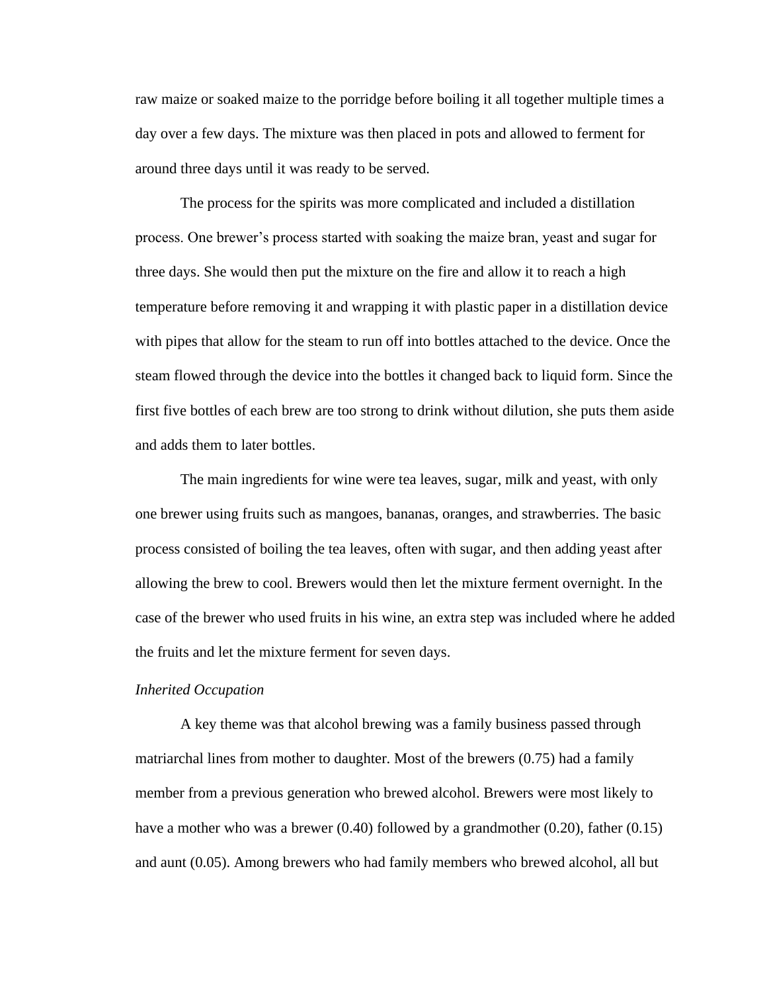raw maize or soaked maize to the porridge before boiling it all together multiple times a day over a few days. The mixture was then placed in pots and allowed to ferment for around three days until it was ready to be served.

The process for the spirits was more complicated and included a distillation process. One brewer's process started with soaking the maize bran, yeast and sugar for three days. She would then put the mixture on the fire and allow it to reach a high temperature before removing it and wrapping it with plastic paper in a distillation device with pipes that allow for the steam to run off into bottles attached to the device. Once the steam flowed through the device into the bottles it changed back to liquid form. Since the first five bottles of each brew are too strong to drink without dilution, she puts them aside and adds them to later bottles.

The main ingredients for wine were tea leaves, sugar, milk and yeast, with only one brewer using fruits such as mangoes, bananas, oranges, and strawberries. The basic process consisted of boiling the tea leaves, often with sugar, and then adding yeast after allowing the brew to cool. Brewers would then let the mixture ferment overnight. In the case of the brewer who used fruits in his wine, an extra step was included where he added the fruits and let the mixture ferment for seven days.

#### <span id="page-16-0"></span>*Inherited Occupation*

A key theme was that alcohol brewing was a family business passed through matriarchal lines from mother to daughter. Most of the brewers (0.75) had a family member from a previous generation who brewed alcohol. Brewers were most likely to have a mother who was a brewer (0.40) followed by a grandmother (0.20), father (0.15) and aunt (0.05). Among brewers who had family members who brewed alcohol, all but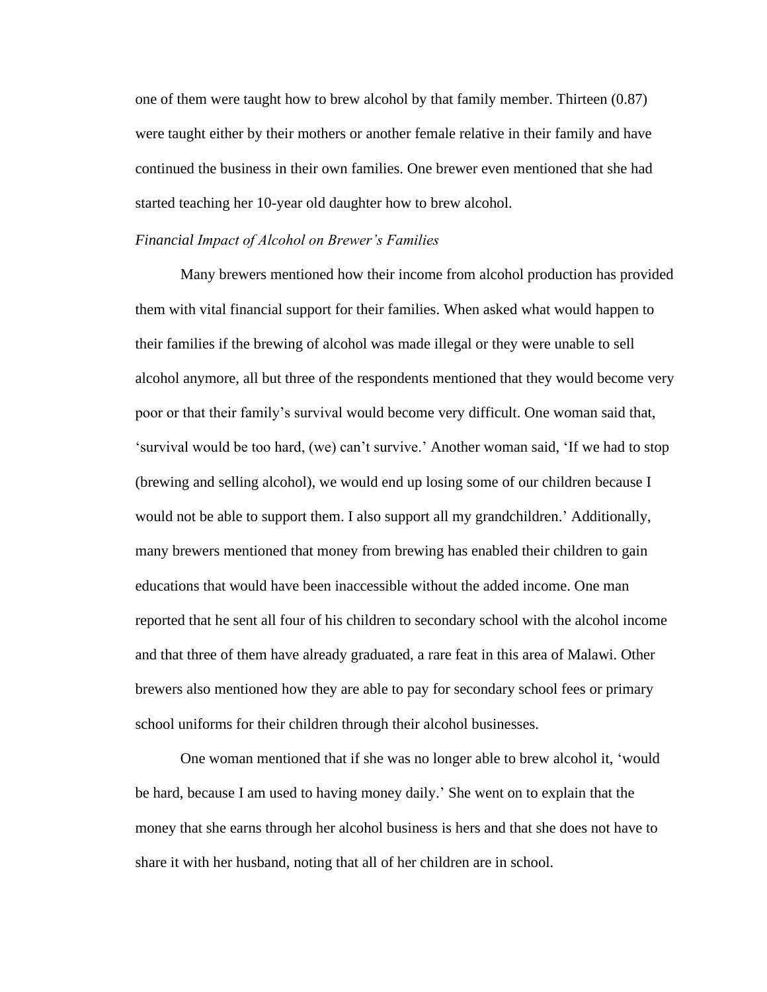one of them were taught how to brew alcohol by that family member. Thirteen (0.87) were taught either by their mothers or another female relative in their family and have continued the business in their own families. One brewer even mentioned that she had started teaching her 10-year old daughter how to brew alcohol.

#### <span id="page-17-0"></span>*Financial Impact of Alcohol on Brewer's Families*

Many brewers mentioned how their income from alcohol production has provided them with vital financial support for their families. When asked what would happen to their families if the brewing of alcohol was made illegal or they were unable to sell alcohol anymore, all but three of the respondents mentioned that they would become very poor or that their family's survival would become very difficult. One woman said that, 'survival would be too hard, (we) can't survive.' Another woman said, 'If we had to stop (brewing and selling alcohol), we would end up losing some of our children because I would not be able to support them. I also support all my grandchildren.' Additionally, many brewers mentioned that money from brewing has enabled their children to gain educations that would have been inaccessible without the added income. One man reported that he sent all four of his children to secondary school with the alcohol income and that three of them have already graduated, a rare feat in this area of Malawi. Other brewers also mentioned how they are able to pay for secondary school fees or primary school uniforms for their children through their alcohol businesses.

One woman mentioned that if she was no longer able to brew alcohol it, 'would be hard, because I am used to having money daily.' She went on to explain that the money that she earns through her alcohol business is hers and that she does not have to share it with her husband, noting that all of her children are in school.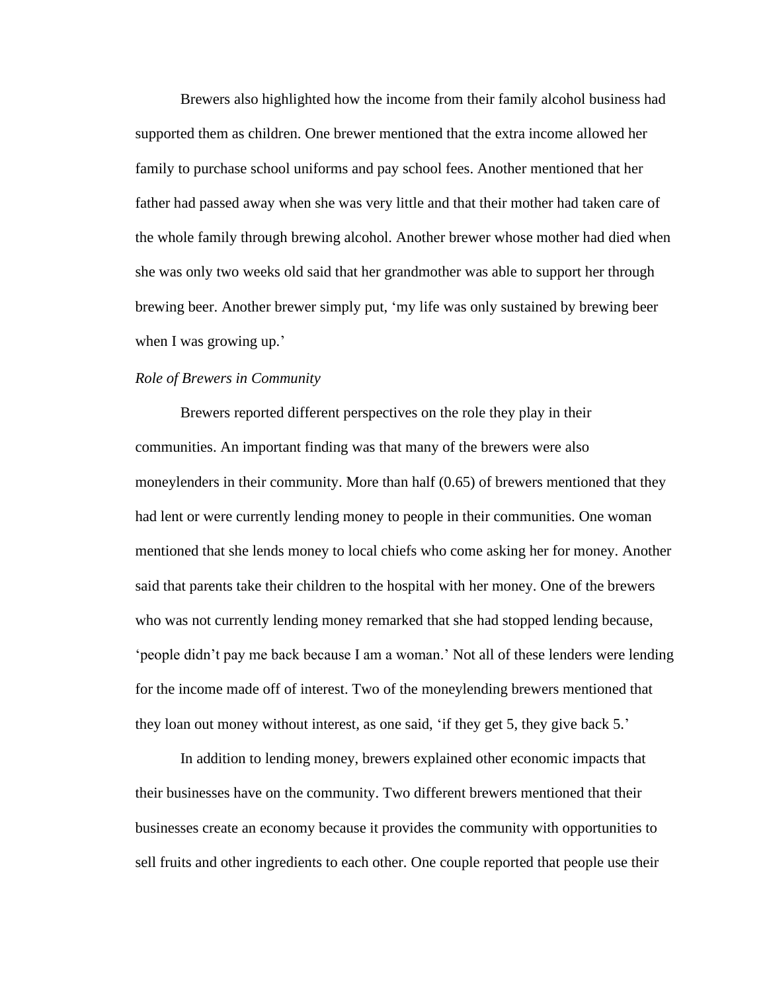Brewers also highlighted how the income from their family alcohol business had supported them as children. One brewer mentioned that the extra income allowed her family to purchase school uniforms and pay school fees. Another mentioned that her father had passed away when she was very little and that their mother had taken care of the whole family through brewing alcohol. Another brewer whose mother had died when she was only two weeks old said that her grandmother was able to support her through brewing beer. Another brewer simply put, 'my life was only sustained by brewing beer when I was growing up.'

#### <span id="page-18-0"></span>*Role of Brewers in Community*

Brewers reported different perspectives on the role they play in their communities. An important finding was that many of the brewers were also moneylenders in their community. More than half (0.65) of brewers mentioned that they had lent or were currently lending money to people in their communities. One woman mentioned that she lends money to local chiefs who come asking her for money. Another said that parents take their children to the hospital with her money. One of the brewers who was not currently lending money remarked that she had stopped lending because, 'people didn't pay me back because I am a woman.' Not all of these lenders were lending for the income made off of interest. Two of the moneylending brewers mentioned that they loan out money without interest, as one said, 'if they get 5, they give back 5.'

In addition to lending money, brewers explained other economic impacts that their businesses have on the community. Two different brewers mentioned that their businesses create an economy because it provides the community with opportunities to sell fruits and other ingredients to each other. One couple reported that people use their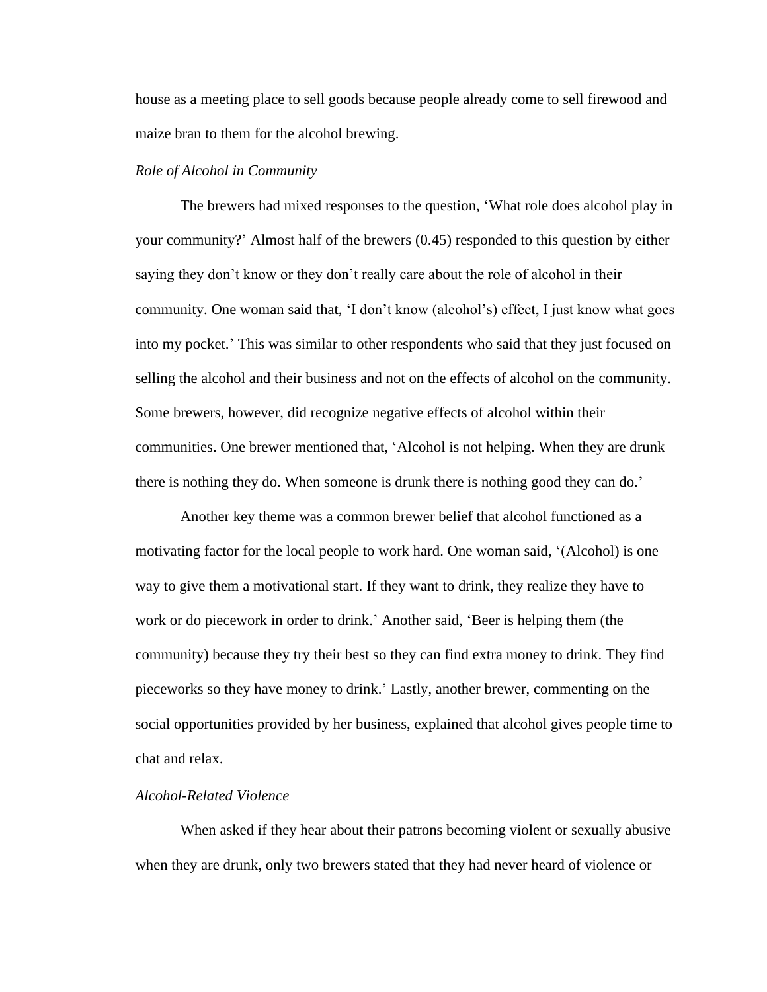house as a meeting place to sell goods because people already come to sell firewood and maize bran to them for the alcohol brewing.

#### <span id="page-19-0"></span>*Role of Alcohol in Community*

The brewers had mixed responses to the question, 'What role does alcohol play in your community?' Almost half of the brewers (0.45) responded to this question by either saying they don't know or they don't really care about the role of alcohol in their community. One woman said that, 'I don't know (alcohol's) effect, I just know what goes into my pocket.' This was similar to other respondents who said that they just focused on selling the alcohol and their business and not on the effects of alcohol on the community. Some brewers, however, did recognize negative effects of alcohol within their communities. One brewer mentioned that, 'Alcohol is not helping. When they are drunk there is nothing they do. When someone is drunk there is nothing good they can do.'

Another key theme was a common brewer belief that alcohol functioned as a motivating factor for the local people to work hard. One woman said, '(Alcohol) is one way to give them a motivational start. If they want to drink, they realize they have to work or do piecework in order to drink.' Another said, 'Beer is helping them (the community) because they try their best so they can find extra money to drink. They find pieceworks so they have money to drink.' Lastly, another brewer, commenting on the social opportunities provided by her business, explained that alcohol gives people time to chat and relax.

#### <span id="page-19-1"></span>*Alcohol-Related Violence*

When asked if they hear about their patrons becoming violent or sexually abusive when they are drunk, only two brewers stated that they had never heard of violence or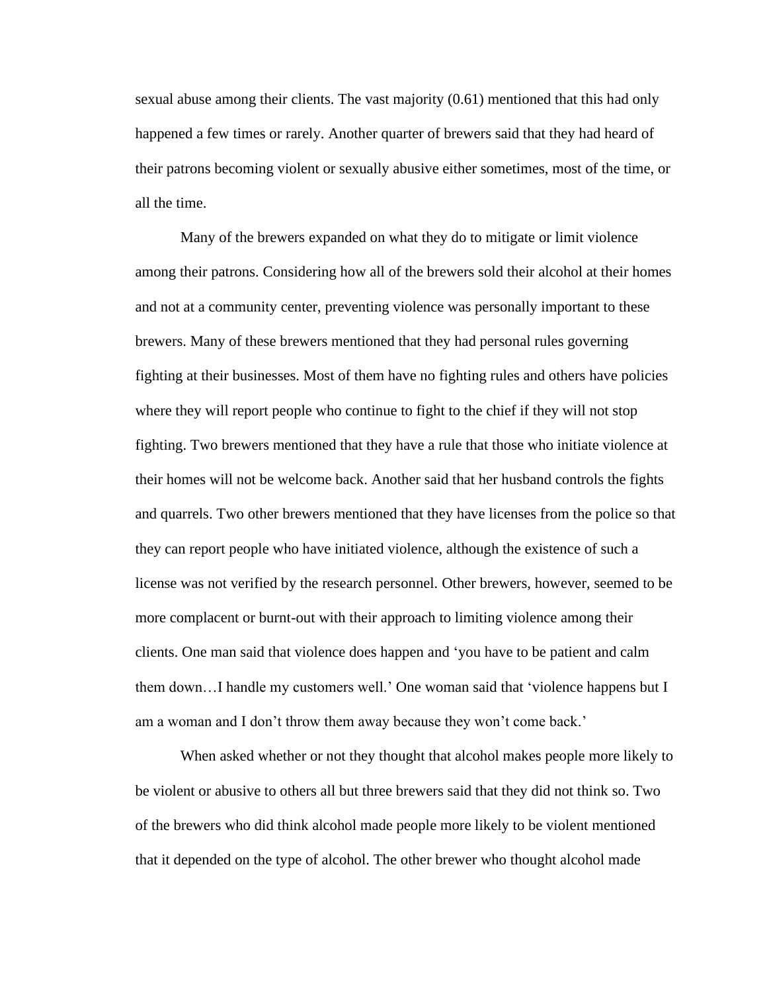sexual abuse among their clients. The vast majority (0.61) mentioned that this had only happened a few times or rarely. Another quarter of brewers said that they had heard of their patrons becoming violent or sexually abusive either sometimes, most of the time, or all the time.

Many of the brewers expanded on what they do to mitigate or limit violence among their patrons. Considering how all of the brewers sold their alcohol at their homes and not at a community center, preventing violence was personally important to these brewers. Many of these brewers mentioned that they had personal rules governing fighting at their businesses. Most of them have no fighting rules and others have policies where they will report people who continue to fight to the chief if they will not stop fighting. Two brewers mentioned that they have a rule that those who initiate violence at their homes will not be welcome back. Another said that her husband controls the fights and quarrels. Two other brewers mentioned that they have licenses from the police so that they can report people who have initiated violence, although the existence of such a license was not verified by the research personnel. Other brewers, however, seemed to be more complacent or burnt-out with their approach to limiting violence among their clients. One man said that violence does happen and 'you have to be patient and calm them down…I handle my customers well.' One woman said that 'violence happens but I am a woman and I don't throw them away because they won't come back.'

When asked whether or not they thought that alcohol makes people more likely to be violent or abusive to others all but three brewers said that they did not think so. Two of the brewers who did think alcohol made people more likely to be violent mentioned that it depended on the type of alcohol. The other brewer who thought alcohol made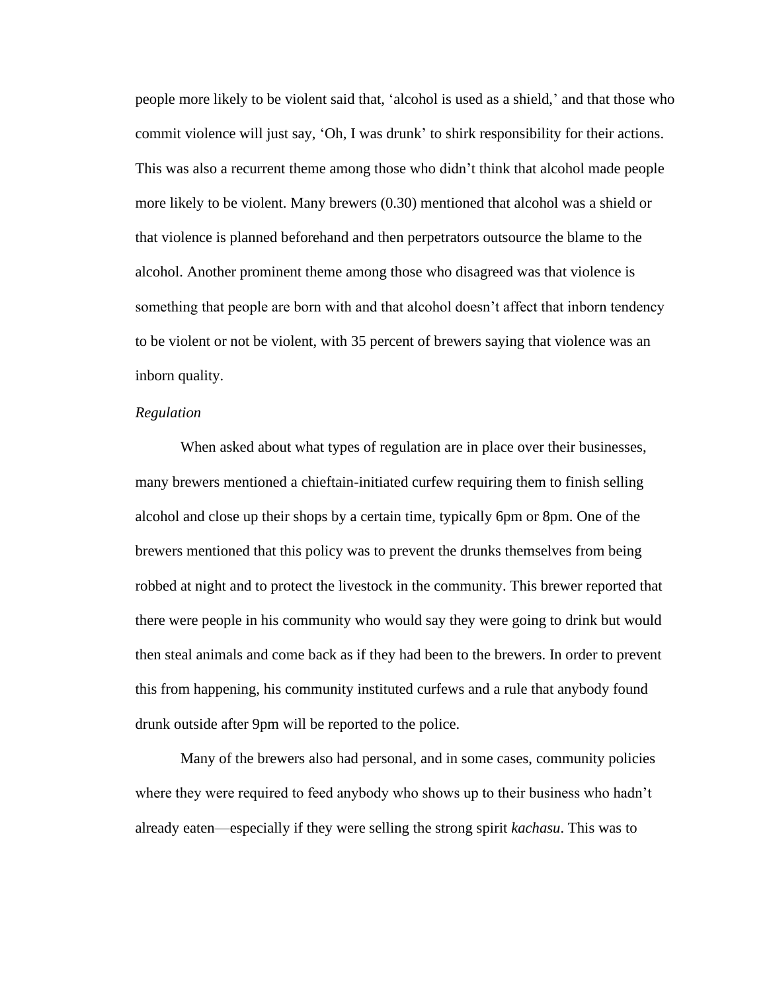people more likely to be violent said that, 'alcohol is used as a shield,' and that those who commit violence will just say, 'Oh, I was drunk' to shirk responsibility for their actions. This was also a recurrent theme among those who didn't think that alcohol made people more likely to be violent. Many brewers (0.30) mentioned that alcohol was a shield or that violence is planned beforehand and then perpetrators outsource the blame to the alcohol. Another prominent theme among those who disagreed was that violence is something that people are born with and that alcohol doesn't affect that inborn tendency to be violent or not be violent, with 35 percent of brewers saying that violence was an inborn quality.

#### <span id="page-21-0"></span>*Regulation*

When asked about what types of regulation are in place over their businesses, many brewers mentioned a chieftain-initiated curfew requiring them to finish selling alcohol and close up their shops by a certain time, typically 6pm or 8pm. One of the brewers mentioned that this policy was to prevent the drunks themselves from being robbed at night and to protect the livestock in the community. This brewer reported that there were people in his community who would say they were going to drink but would then steal animals and come back as if they had been to the brewers. In order to prevent this from happening, his community instituted curfews and a rule that anybody found drunk outside after 9pm will be reported to the police.

Many of the brewers also had personal, and in some cases, community policies where they were required to feed anybody who shows up to their business who hadn't already eaten—especially if they were selling the strong spirit *kachasu*. This was to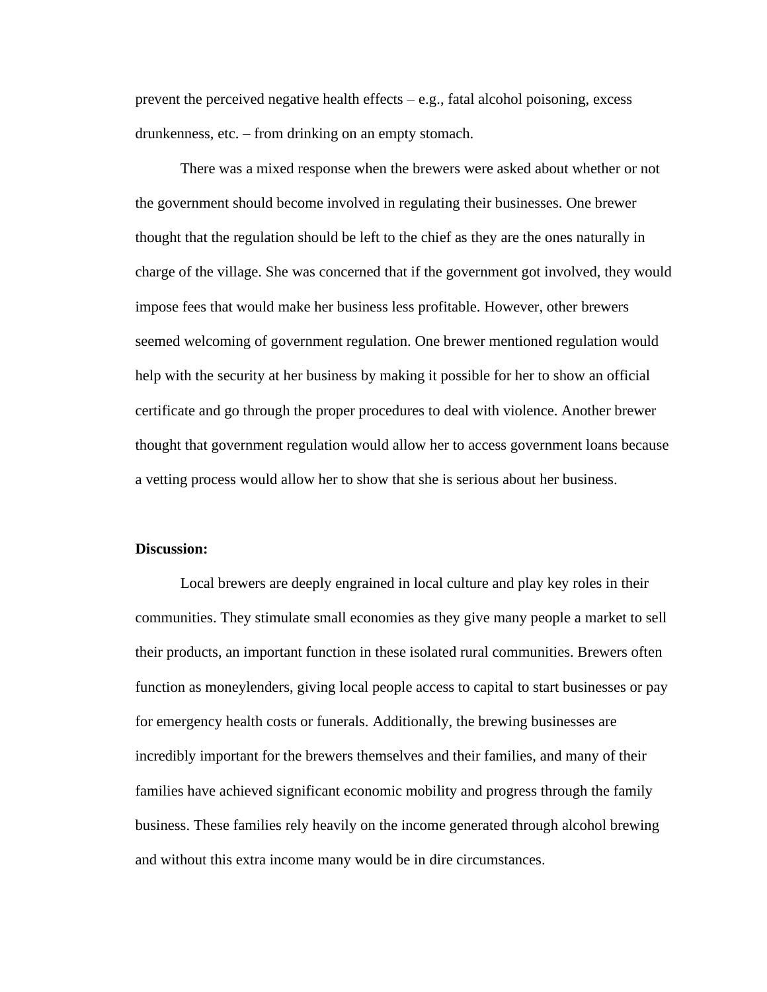prevent the perceived negative health effects – e.g., fatal alcohol poisoning, excess drunkenness, etc. – from drinking on an empty stomach.

There was a mixed response when the brewers were asked about whether or not the government should become involved in regulating their businesses. One brewer thought that the regulation should be left to the chief as they are the ones naturally in charge of the village. She was concerned that if the government got involved, they would impose fees that would make her business less profitable. However, other brewers seemed welcoming of government regulation. One brewer mentioned regulation would help with the security at her business by making it possible for her to show an official certificate and go through the proper procedures to deal with violence. Another brewer thought that government regulation would allow her to access government loans because a vetting process would allow her to show that she is serious about her business.

#### <span id="page-22-0"></span>**Discussion:**

Local brewers are deeply engrained in local culture and play key roles in their communities. They stimulate small economies as they give many people a market to sell their products, an important function in these isolated rural communities. Brewers often function as moneylenders, giving local people access to capital to start businesses or pay for emergency health costs or funerals. Additionally, the brewing businesses are incredibly important for the brewers themselves and their families, and many of their families have achieved significant economic mobility and progress through the family business. These families rely heavily on the income generated through alcohol brewing and without this extra income many would be in dire circumstances.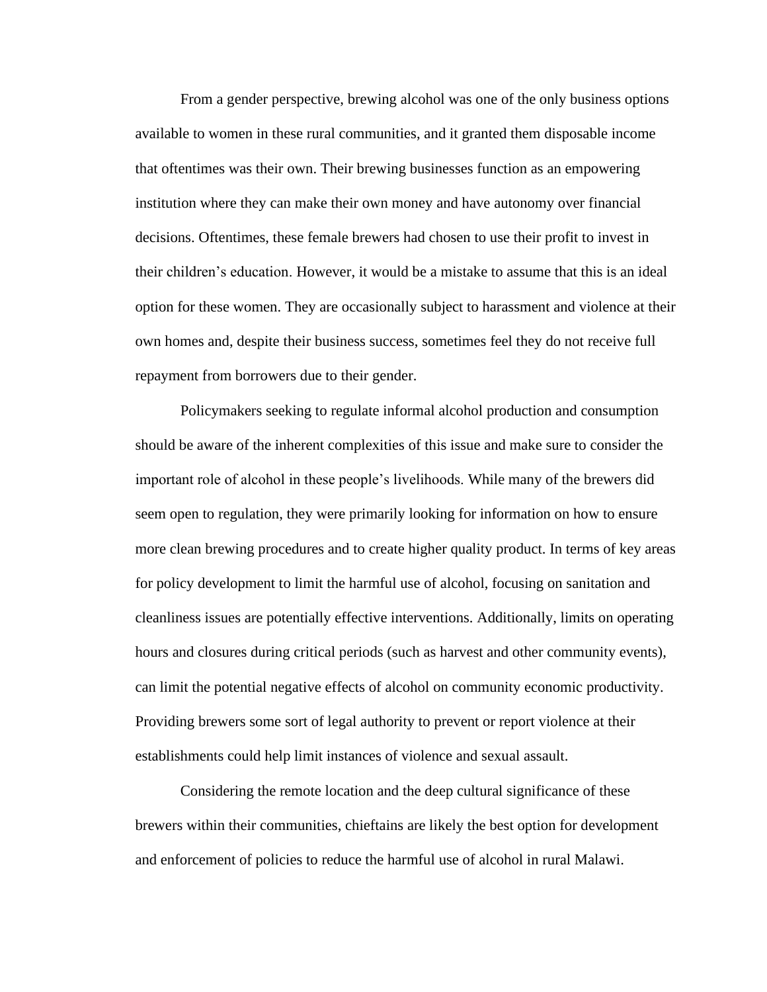From a gender perspective, brewing alcohol was one of the only business options available to women in these rural communities, and it granted them disposable income that oftentimes was their own. Their brewing businesses function as an empowering institution where they can make their own money and have autonomy over financial decisions. Oftentimes, these female brewers had chosen to use their profit to invest in their children's education. However, it would be a mistake to assume that this is an ideal option for these women. They are occasionally subject to harassment and violence at their own homes and, despite their business success, sometimes feel they do not receive full repayment from borrowers due to their gender.

Policymakers seeking to regulate informal alcohol production and consumption should be aware of the inherent complexities of this issue and make sure to consider the important role of alcohol in these people's livelihoods. While many of the brewers did seem open to regulation, they were primarily looking for information on how to ensure more clean brewing procedures and to create higher quality product. In terms of key areas for policy development to limit the harmful use of alcohol, focusing on sanitation and cleanliness issues are potentially effective interventions. Additionally, limits on operating hours and closures during critical periods (such as harvest and other community events), can limit the potential negative effects of alcohol on community economic productivity. Providing brewers some sort of legal authority to prevent or report violence at their establishments could help limit instances of violence and sexual assault.

Considering the remote location and the deep cultural significance of these brewers within their communities, chieftains are likely the best option for development and enforcement of policies to reduce the harmful use of alcohol in rural Malawi.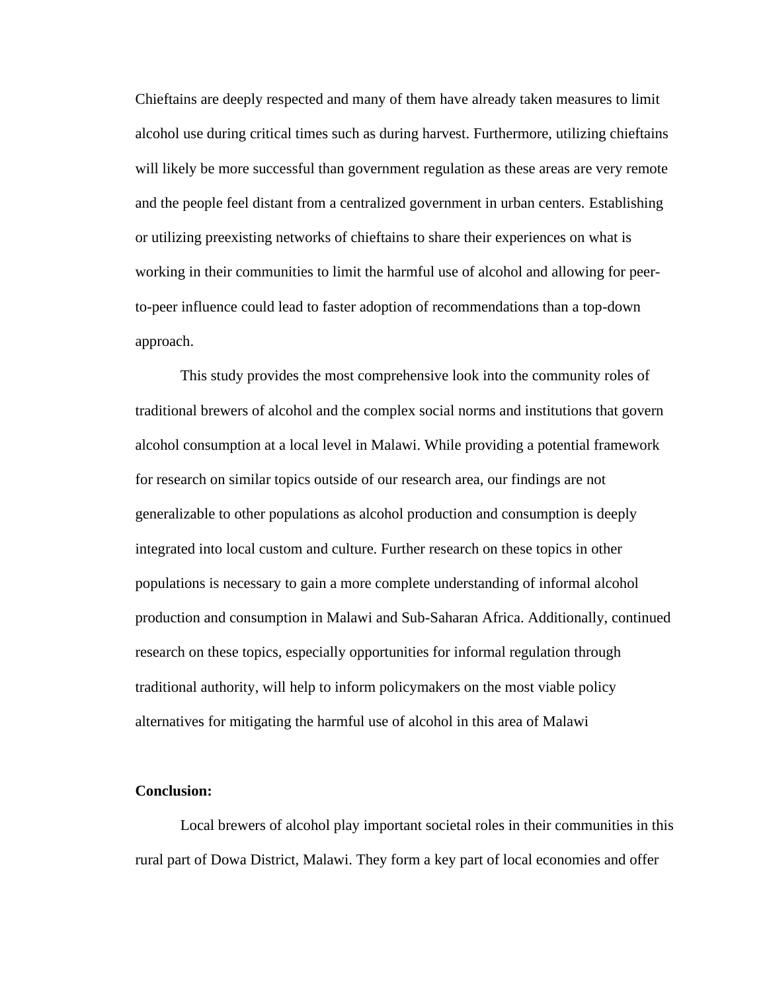Chieftains are deeply respected and many of them have already taken measures to limit alcohol use during critical times such as during harvest. Furthermore, utilizing chieftains will likely be more successful than government regulation as these areas are very remote and the people feel distant from a centralized government in urban centers. Establishing or utilizing preexisting networks of chieftains to share their experiences on what is working in their communities to limit the harmful use of alcohol and allowing for peerto-peer influence could lead to faster adoption of recommendations than a top-down approach.

This study provides the most comprehensive look into the community roles of traditional brewers of alcohol and the complex social norms and institutions that govern alcohol consumption at a local level in Malawi. While providing a potential framework for research on similar topics outside of our research area, our findings are not generalizable to other populations as alcohol production and consumption is deeply integrated into local custom and culture. Further research on these topics in other populations is necessary to gain a more complete understanding of informal alcohol production and consumption in Malawi and Sub-Saharan Africa. Additionally, continued research on these topics, especially opportunities for informal regulation through traditional authority, will help to inform policymakers on the most viable policy alternatives for mitigating the harmful use of alcohol in this area of Malawi

#### <span id="page-24-0"></span>**Conclusion:**

Local brewers of alcohol play important societal roles in their communities in this rural part of Dowa District, Malawi. They form a key part of local economies and offer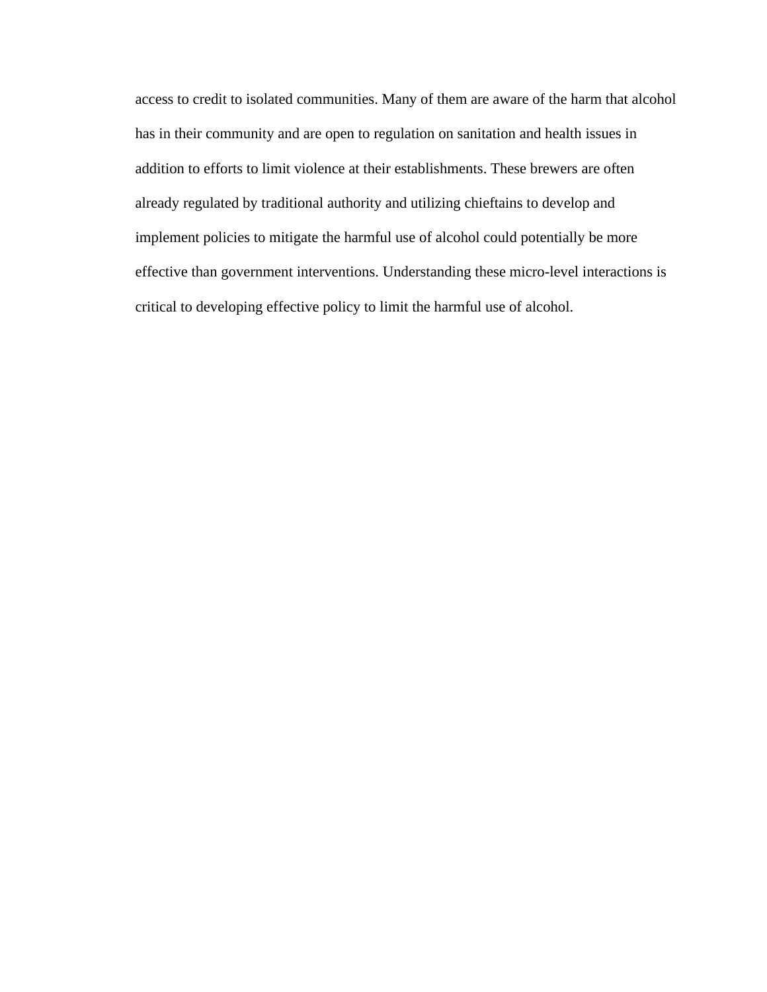access to credit to isolated communities. Many of them are aware of the harm that alcohol has in their community and are open to regulation on sanitation and health issues in addition to efforts to limit violence at their establishments. These brewers are often already regulated by traditional authority and utilizing chieftains to develop and implement policies to mitigate the harmful use of alcohol could potentially be more effective than government interventions. Understanding these micro-level interactions is critical to developing effective policy to limit the harmful use of alcohol.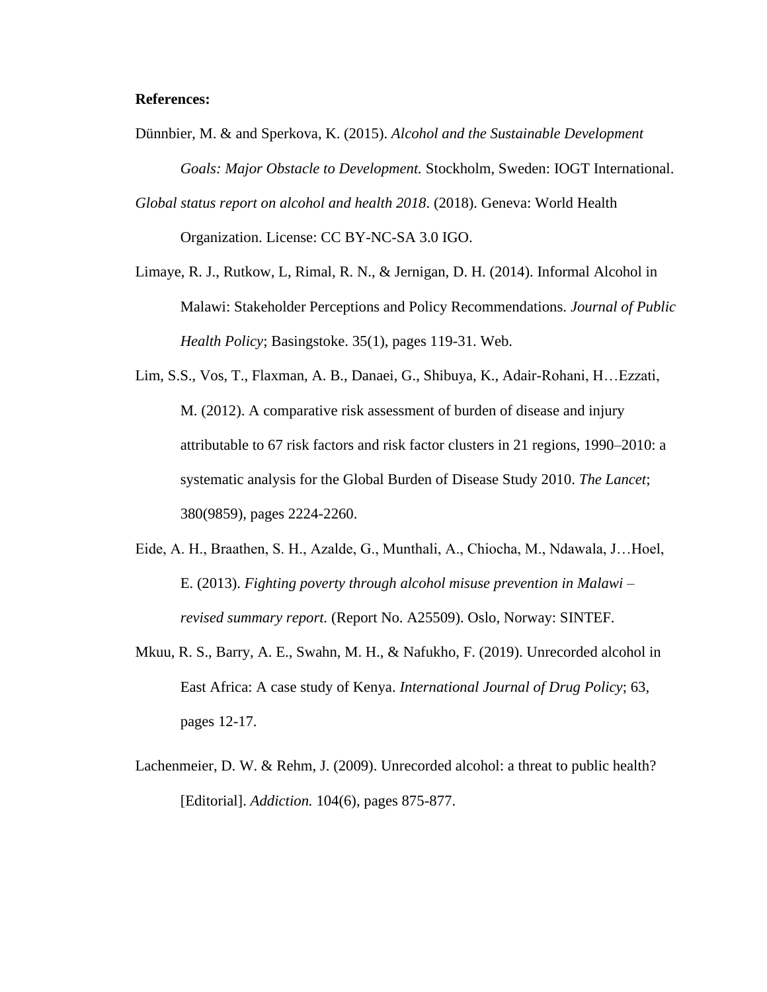#### <span id="page-26-0"></span>**References:**

- Dünnbier, M. & and Sperkova, K. (2015). *Alcohol and the Sustainable Development Goals: Major Obstacle to Development.* Stockholm, Sweden: IOGT International.
- *Global status report on alcohol and health 2018*. (2018). Geneva: World Health Organization. License: CC BY-NC-SA 3.0 IGO.
- Limaye, R. J., Rutkow, L, Rimal, R. N., & Jernigan, D. H. (2014). Informal Alcohol in Malawi: Stakeholder Perceptions and Policy Recommendations. *Journal of Public Health Policy*; Basingstoke. 35(1), pages 119-31. Web.
- Lim, S.S., Vos, T., Flaxman, A. B., Danaei, G., Shibuya, K., Adair-Rohani, H…Ezzati, M. (2012). A comparative risk assessment of burden of disease and injury attributable to 67 risk factors and risk factor clusters in 21 regions, 1990–2010: a systematic analysis for the Global Burden of Disease Study 2010. *The Lancet*; 380(9859), pages 2224-2260.
- Eide, A. H., Braathen, S. H., Azalde, G., Munthali, A., Chiocha, M., Ndawala, J…Hoel, E. (2013). *Fighting poverty through alcohol misuse prevention in Malawi – revised summary report.* (Report No. A25509). Oslo, Norway: SINTEF.
- Mkuu, R. S., Barry, A. E., Swahn, M. H., & Nafukho, F. (2019). Unrecorded alcohol in East Africa: A case study of Kenya. *International Journal of Drug Policy*; 63, pages 12-17.
- Lachenmeier, D. W. & Rehm, J. (2009). Unrecorded alcohol: a threat to public health? [Editorial]. *Addiction.* 104(6), pages 875-877.